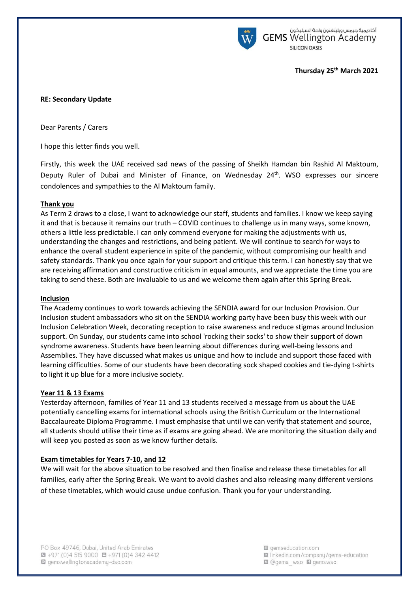

أكاديمية جيمس ويلينغتون واحة السيليكون **GEMS** Wellington Academy **SILICON OASIS** 

## **Thursday 25th March 2021**

## **RE: Secondary Update**

Dear Parents / Carers

I hope this letter finds you well.

Firstly, this week the UAE received sad news of the passing of Sheikh Hamdan bin Rashid Al Maktoum, Deputy Ruler of Dubai and Minister of Finance, on Wednesday 24<sup>th</sup>. WSO expresses our sincere condolences and sympathies to the Al Maktoum family.

### **Thank you**

As Term 2 draws to a close, I want to acknowledge our staff, students and families. I know we keep saying it and that is because it remains our truth – COVID continues to challenge us in many ways, some known, others a little less predictable. I can only commend everyone for making the adjustments with us, understanding the changes and restrictions, and being patient. We will continue to search for ways to enhance the overall student experience in spite of the pandemic, without compromising our health and safety standards. Thank you once again for your support and critique this term. I can honestly say that we are receiving affirmation and constructive criticism in equal amounts, and we appreciate the time you are taking to send these. Both are invaluable to us and we welcome them again after this Spring Break.

#### **Inclusion**

The Academy continues to work towards achieving the SENDIA award for our Inclusion Provision. Our Inclusion student ambassadors who sit on the SENDIA working party have been busy this week with our Inclusion Celebration Week, decorating reception to raise awareness and reduce stigmas around Inclusion support. On Sunday, our students came into school 'rocking their socks' to show their support of down syndrome awareness. Students have been learning about differences during well-being lessons and Assemblies. They have discussed what makes us unique and how to include and support those faced with learning difficulties. Some of our students have been decorating sock shaped cookies and tie-dying t-shirts to light it up blue for a more inclusive society.

#### **Year 11 & 13 Exams**

Yesterday afternoon, families of Year 11 and 13 students received a message from us about the UAE potentially cancelling exams for international schools using the British Curriculum or the International Baccalaureate Diploma Programme. I must emphasise that until we can verify that statement and source, all students should utilise their time as if exams are going ahead. We are monitoring the situation daily and will keep you posted as soon as we know further details.

## **Exam timetables for Years 7-10, and 12**

We will wait for the above situation to be resolved and then finalise and release these timetables for all families, early after the Spring Break. We want to avoid clashes and also releasing many different versions of these timetables, which would cause undue confusion. Thank you for your understanding.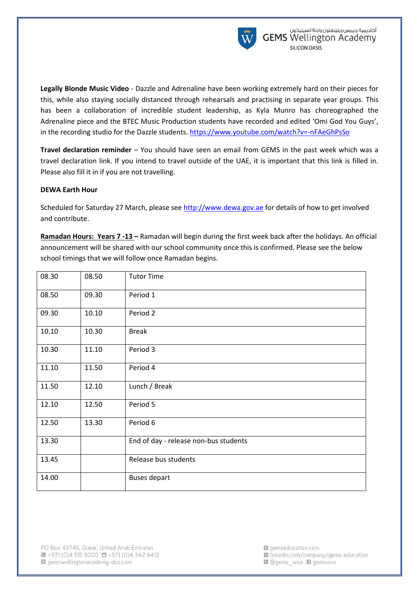

**Legally Blonde Music Video** - Dazzle and Adrenaline have been working extremely hard on their pieces for this, while also staying socially distanced through rehearsals and practising in separate year groups. This has been a collaboration of incredible student leadership, as Kyla Munro has choreographed the Adrenaline piece and the BTEC Music Production students have recorded and edited 'Omi God You Guys', in the recording studio for the Dazzle students[. https://www.youtube.com/watch?v=-nFAeGhPsSo](https://www.youtube.com/watch?v=-nFAeGhPsSo)

**Travel declaration reminder** – You should have seen an email from GEMS in the past week which was a travel declaration link. If you intend to travel outside of the UAE, it is important that this link is filled in. Please also fill it in if you are not travelling.

## **DEWA Earth Hour**

Scheduled for Saturday 27 March, please see [http://www.dewa.gov.ae](http://www.dewa.gov.ae/) for details of how to get involved and contribute.

**Ramadan Hours: Years 7 -13 –** Ramadan will begin during the first week back after the holidays. An official announcement will be shared with our school community once this is confirmed. Please see the below school timings that we will follow once Ramadan begins.

| 08.30 | 08.50 | <b>Tutor Time</b>                     |
|-------|-------|---------------------------------------|
| 08.50 | 09.30 | Period 1                              |
| 09.30 | 10.10 | Period 2                              |
| 10.10 | 10.30 | <b>Break</b>                          |
| 10.30 | 11.10 | Period 3                              |
| 11.10 | 11.50 | Period 4                              |
| 11.50 | 12.10 | Lunch / Break                         |
| 12.10 | 12.50 | Period 5                              |
| 12.50 | 13.30 | Period 6                              |
| 13.30 |       | End of day - release non-bus students |
| 13.45 |       | Release bus students                  |
| 14.00 |       | <b>Buses depart</b>                   |